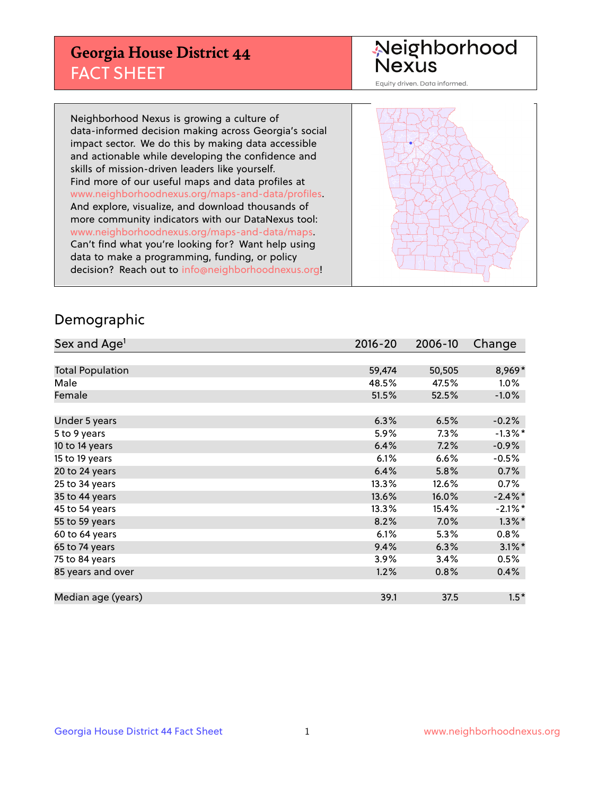## **Georgia House District 44** FACT SHEET

# Neighborhood<br>Nexus

Equity driven. Data informed.

Neighborhood Nexus is growing a culture of data-informed decision making across Georgia's social impact sector. We do this by making data accessible and actionable while developing the confidence and skills of mission-driven leaders like yourself. Find more of our useful maps and data profiles at www.neighborhoodnexus.org/maps-and-data/profiles. And explore, visualize, and download thousands of more community indicators with our DataNexus tool: www.neighborhoodnexus.org/maps-and-data/maps. Can't find what you're looking for? Want help using data to make a programming, funding, or policy decision? Reach out to [info@neighborhoodnexus.org!](mailto:info@neighborhoodnexus.org)



### Demographic

| Sex and Age <sup>1</sup> | $2016 - 20$ | 2006-10 | Change     |
|--------------------------|-------------|---------|------------|
|                          |             |         |            |
| <b>Total Population</b>  | 59,474      | 50,505  | 8,969*     |
| Male                     | 48.5%       | 47.5%   | $1.0\%$    |
| Female                   | 51.5%       | 52.5%   | $-1.0\%$   |
|                          |             |         |            |
| Under 5 years            | 6.3%        | 6.5%    | $-0.2%$    |
| 5 to 9 years             | 5.9%        | 7.3%    | $-1.3\%$ * |
| 10 to 14 years           | 6.4%        | 7.2%    | $-0.9\%$   |
| 15 to 19 years           | 6.1%        | 6.6%    | $-0.5%$    |
| 20 to 24 years           | 6.4%        | 5.8%    | 0.7%       |
| 25 to 34 years           | 13.3%       | 12.6%   | $0.7\%$    |
| 35 to 44 years           | 13.6%       | 16.0%   | $-2.4\%$ * |
| 45 to 54 years           | 13.3%       | 15.4%   | $-2.1\%$ * |
| 55 to 59 years           | 8.2%        | 7.0%    | $1.3\%$ *  |
| 60 to 64 years           | 6.1%        | $5.3\%$ | 0.8%       |
| 65 to 74 years           | 9.4%        | 6.3%    | $3.1\%$ *  |
| 75 to 84 years           | 3.9%        | 3.4%    | 0.5%       |
| 85 years and over        | 1.2%        | 0.8%    | 0.4%       |
|                          |             |         |            |
| Median age (years)       | 39.1        | 37.5    | $1.5*$     |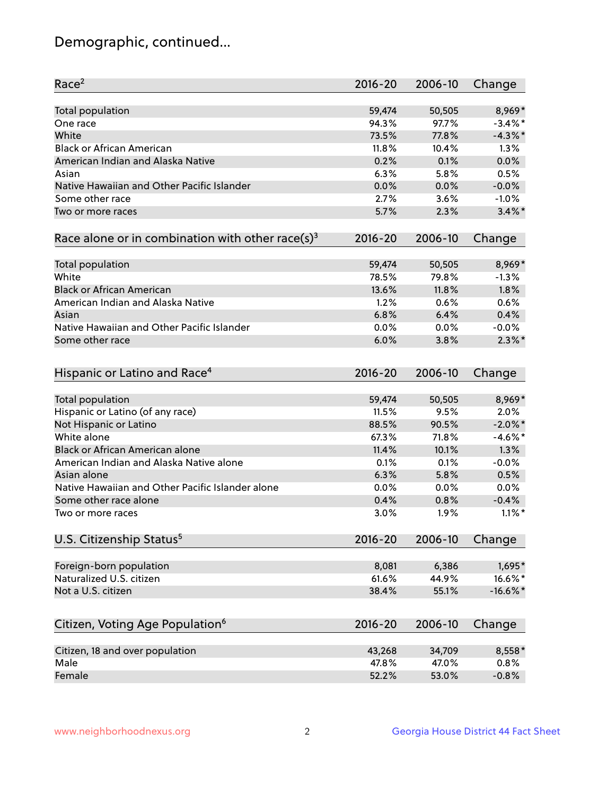## Demographic, continued...

| Race <sup>2</sup>                                            | $2016 - 20$ | 2006-10 | Change      |
|--------------------------------------------------------------|-------------|---------|-------------|
| <b>Total population</b>                                      | 59,474      | 50,505  | 8,969*      |
| One race                                                     | 94.3%       | 97.7%   | $-3.4\%$ *  |
| White                                                        | 73.5%       | 77.8%   | $-4.3\%$ *  |
| <b>Black or African American</b>                             | 11.8%       | 10.4%   | 1.3%        |
| American Indian and Alaska Native                            | 0.2%        | 0.1%    | 0.0%        |
| Asian                                                        | 6.3%        | 5.8%    | 0.5%        |
| Native Hawaiian and Other Pacific Islander                   | 0.0%        | 0.0%    | $-0.0%$     |
| Some other race                                              | 2.7%        | 3.6%    | $-1.0%$     |
| Two or more races                                            | 5.7%        | 2.3%    | $3.4\%$ *   |
| Race alone or in combination with other race(s) <sup>3</sup> | $2016 - 20$ | 2006-10 | Change      |
| Total population                                             | 59,474      | 50,505  | 8,969*      |
| White                                                        | 78.5%       | 79.8%   | $-1.3%$     |
| <b>Black or African American</b>                             | 13.6%       | 11.8%   | 1.8%        |
| American Indian and Alaska Native                            | 1.2%        | 0.6%    | 0.6%        |
| Asian                                                        | 6.8%        | 6.4%    | 0.4%        |
| Native Hawaiian and Other Pacific Islander                   | 0.0%        | 0.0%    | $-0.0%$     |
| Some other race                                              | 6.0%        | 3.8%    | $2.3\%$ *   |
| Hispanic or Latino and Race <sup>4</sup>                     | $2016 - 20$ | 2006-10 | Change      |
| Total population                                             | 59,474      | 50,505  | 8,969*      |
| Hispanic or Latino (of any race)                             | 11.5%       | 9.5%    | 2.0%        |
| Not Hispanic or Latino                                       | 88.5%       | 90.5%   | $-2.0\%$ *  |
| White alone                                                  | 67.3%       | 71.8%   | $-4.6\%$ *  |
| Black or African American alone                              | 11.4%       | 10.1%   | 1.3%        |
| American Indian and Alaska Native alone                      | 0.1%        | 0.1%    | $-0.0%$     |
| Asian alone                                                  | 6.3%        | 5.8%    | 0.5%        |
| Native Hawaiian and Other Pacific Islander alone             | $0.0\%$     | 0.0%    | 0.0%        |
| Some other race alone                                        | 0.4%        | 0.8%    | $-0.4%$     |
| Two or more races                                            | 3.0%        | 1.9%    | $1.1\%$ *   |
| U.S. Citizenship Status <sup>5</sup>                         | $2016 - 20$ | 2006-10 | Change      |
| Foreign-born population                                      | 8,081       | 6,386   | 1,695*      |
| Naturalized U.S. citizen                                     | 61.6%       | 44.9%   | 16.6%*      |
| Not a U.S. citizen                                           | 38.4%       | 55.1%   | $-16.6\%$ * |
|                                                              |             |         |             |
| Citizen, Voting Age Population <sup>6</sup>                  | 2016-20     | 2006-10 | Change      |
| Citizen, 18 and over population                              | 43,268      | 34,709  | 8,558*      |
| Male                                                         | 47.8%       | 47.0%   | 0.8%        |
| Female                                                       | 52.2%       | 53.0%   | $-0.8%$     |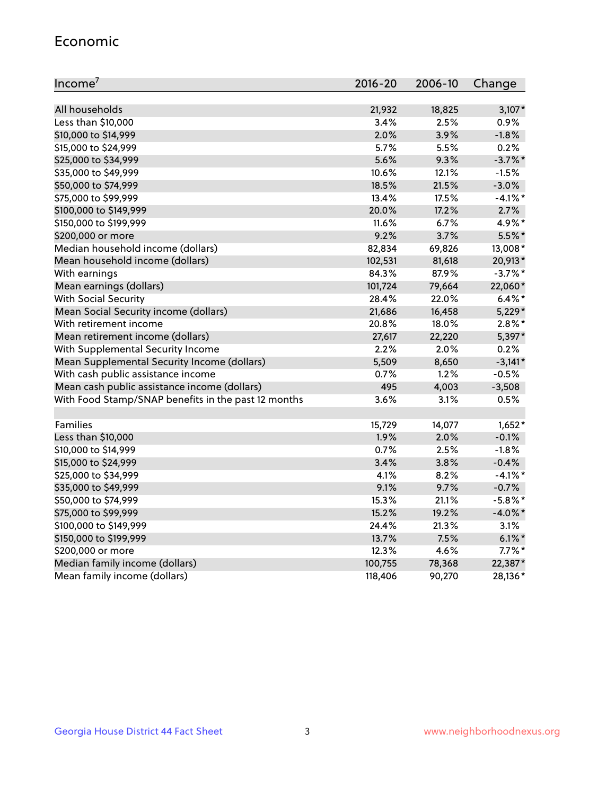#### Economic

| Income <sup>7</sup>                                 | $2016 - 20$ | 2006-10 | Change     |
|-----------------------------------------------------|-------------|---------|------------|
|                                                     |             |         |            |
| All households                                      | 21,932      | 18,825  | $3,107*$   |
| Less than \$10,000                                  | 3.4%        | 2.5%    | 0.9%       |
| \$10,000 to \$14,999                                | 2.0%        | 3.9%    | $-1.8%$    |
| \$15,000 to \$24,999                                | 5.7%        | 5.5%    | 0.2%       |
| \$25,000 to \$34,999                                | 5.6%        | 9.3%    | $-3.7%$ *  |
| \$35,000 to \$49,999                                | 10.6%       | 12.1%   | $-1.5%$    |
| \$50,000 to \$74,999                                | 18.5%       | 21.5%   | $-3.0%$    |
| \$75,000 to \$99,999                                | 13.4%       | 17.5%   | $-4.1\%$ * |
| \$100,000 to \$149,999                              | 20.0%       | 17.2%   | 2.7%       |
| \$150,000 to \$199,999                              | 11.6%       | 6.7%    | 4.9%*      |
| \$200,000 or more                                   | 9.2%        | 3.7%    | 5.5%*      |
| Median household income (dollars)                   | 82,834      | 69,826  | 13,008*    |
| Mean household income (dollars)                     | 102,531     | 81,618  | 20,913*    |
| With earnings                                       | 84.3%       | 87.9%   | $-3.7\%$ * |
| Mean earnings (dollars)                             | 101,724     | 79,664  | 22,060*    |
| <b>With Social Security</b>                         | 28.4%       | 22.0%   | $6.4\%$ *  |
| Mean Social Security income (dollars)               | 21,686      | 16,458  | $5,229*$   |
| With retirement income                              | 20.8%       | 18.0%   | $2.8\%$ *  |
| Mean retirement income (dollars)                    | 27,617      | 22,220  | 5,397*     |
| With Supplemental Security Income                   | $2.2\%$     | 2.0%    | 0.2%       |
| Mean Supplemental Security Income (dollars)         | 5,509       | 8,650   | $-3,141*$  |
| With cash public assistance income                  | 0.7%        | 1.2%    | $-0.5%$    |
| Mean cash public assistance income (dollars)        | 495         | 4,003   | $-3,508$   |
| With Food Stamp/SNAP benefits in the past 12 months | 3.6%        | 3.1%    | 0.5%       |
|                                                     |             |         |            |
| Families                                            | 15,729      | 14,077  | $1,652*$   |
| Less than \$10,000                                  | 1.9%        | 2.0%    | $-0.1%$    |
| \$10,000 to \$14,999                                | 0.7%        | 2.5%    | $-1.8%$    |
| \$15,000 to \$24,999                                | 3.4%        | 3.8%    | $-0.4%$    |
| \$25,000 to \$34,999                                | 4.1%        | 8.2%    | $-4.1%$ *  |
| \$35,000 to \$49,999                                | 9.1%        | 9.7%    | $-0.7%$    |
| \$50,000 to \$74,999                                | 15.3%       | 21.1%   | $-5.8\%$ * |
| \$75,000 to \$99,999                                | 15.2%       | 19.2%   | $-4.0\%$ * |
| \$100,000 to \$149,999                              | 24.4%       | 21.3%   | 3.1%       |
| \$150,000 to \$199,999                              | 13.7%       | 7.5%    | $6.1\%$ *  |
| \$200,000 or more                                   | 12.3%       | 4.6%    | $7.7\%$ *  |
| Median family income (dollars)                      | 100,755     | 78,368  | 22,387*    |
| Mean family income (dollars)                        | 118,406     | 90,270  | 28,136*    |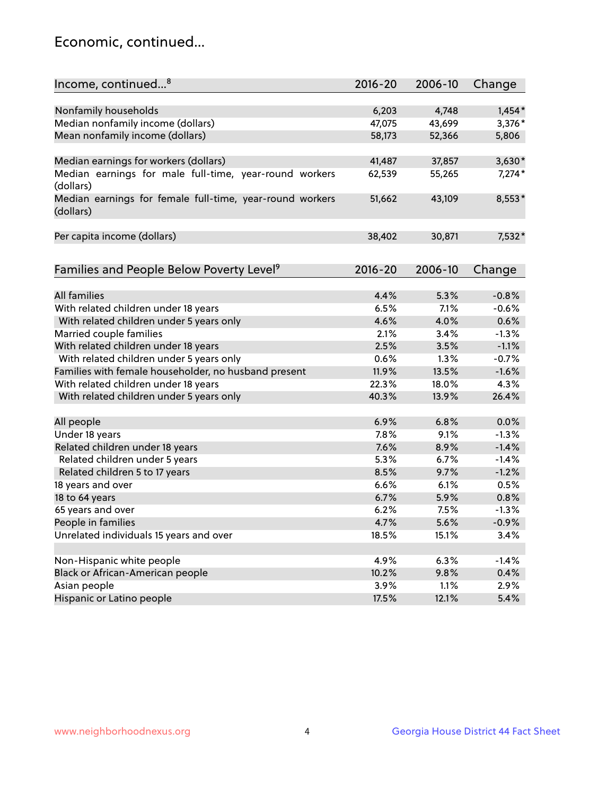## Economic, continued...

| Income, continued <sup>8</sup>                                        | $2016 - 20$ | 2006-10 | Change   |
|-----------------------------------------------------------------------|-------------|---------|----------|
|                                                                       |             |         |          |
| Nonfamily households                                                  | 6,203       | 4,748   | $1,454*$ |
| Median nonfamily income (dollars)                                     | 47,075      | 43,699  | 3,376*   |
| Mean nonfamily income (dollars)                                       | 58,173      | 52,366  | 5,806    |
|                                                                       | 41,487      | 37,857  | 3,630*   |
| Median earnings for workers (dollars)                                 |             |         |          |
| Median earnings for male full-time, year-round workers<br>(dollars)   | 62,539      | 55,265  | $7,274*$ |
| Median earnings for female full-time, year-round workers<br>(dollars) | 51,662      | 43,109  | 8,553*   |
| Per capita income (dollars)                                           | 38,402      | 30,871  | 7,532*   |
|                                                                       |             |         |          |
| Families and People Below Poverty Level <sup>9</sup>                  | $2016 - 20$ | 2006-10 | Change   |
|                                                                       |             |         |          |
| <b>All families</b>                                                   | 4.4%        | 5.3%    | $-0.8%$  |
| With related children under 18 years                                  | 6.5%        | 7.1%    | $-0.6%$  |
| With related children under 5 years only                              | 4.6%        | 4.0%    | 0.6%     |
| Married couple families                                               | 2.1%        | 3.4%    | $-1.3%$  |
| With related children under 18 years                                  | 2.5%        | 3.5%    | $-1.1%$  |
| With related children under 5 years only                              | 0.6%        | 1.3%    | $-0.7%$  |
| Families with female householder, no husband present                  | 11.9%       | 13.5%   | $-1.6%$  |
| With related children under 18 years                                  | 22.3%       | 18.0%   | 4.3%     |
| With related children under 5 years only                              | 40.3%       | 13.9%   | 26.4%    |
| All people                                                            | 6.9%        | 6.8%    | 0.0%     |
| Under 18 years                                                        | 7.8%        | 9.1%    | $-1.3%$  |
| Related children under 18 years                                       | 7.6%        | 8.9%    | $-1.4%$  |
| Related children under 5 years                                        | 5.3%        | 6.7%    | $-1.4%$  |
| Related children 5 to 17 years                                        | 8.5%        | 9.7%    | $-1.2%$  |
| 18 years and over                                                     | 6.6%        | 6.1%    | 0.5%     |
| 18 to 64 years                                                        | 6.7%        | 5.9%    | 0.8%     |
| 65 years and over                                                     | 6.2%        | 7.5%    | $-1.3%$  |
| People in families                                                    | 4.7%        | 5.6%    | $-0.9%$  |
| Unrelated individuals 15 years and over                               | 18.5%       | 15.1%   | 3.4%     |
|                                                                       |             |         |          |
| Non-Hispanic white people                                             | 4.9%        | 6.3%    | $-1.4%$  |
| Black or African-American people                                      | 10.2%       | 9.8%    | 0.4%     |
| Asian people                                                          | 3.9%        | 1.1%    | 2.9%     |
| Hispanic or Latino people                                             | 17.5%       | 12.1%   | 5.4%     |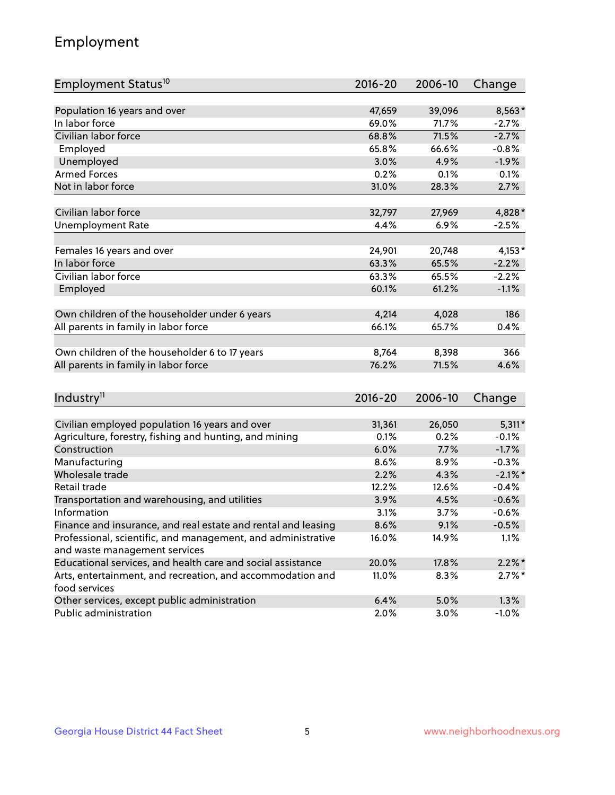## Employment

| Employment Status <sup>10</sup>                                             | $2016 - 20$ | 2006-10 | Change     |
|-----------------------------------------------------------------------------|-------------|---------|------------|
|                                                                             |             |         |            |
| Population 16 years and over                                                | 47,659      | 39,096  | 8,563*     |
| In labor force                                                              | 69.0%       | 71.7%   | $-2.7%$    |
| Civilian labor force                                                        | 68.8%       | 71.5%   | $-2.7%$    |
| Employed                                                                    | 65.8%       | 66.6%   | $-0.8%$    |
| Unemployed                                                                  | 3.0%        | 4.9%    | $-1.9%$    |
| <b>Armed Forces</b>                                                         | 0.2%        | 0.1%    | 0.1%       |
| Not in labor force                                                          | 31.0%       | 28.3%   | 2.7%       |
|                                                                             |             |         |            |
| Civilian labor force                                                        | 32,797      | 27,969  | 4,828*     |
| <b>Unemployment Rate</b>                                                    | 4.4%        | 6.9%    | $-2.5%$    |
| Females 16 years and over                                                   | 24,901      | 20,748  | $4,153*$   |
| In labor force                                                              | 63.3%       | 65.5%   | $-2.2%$    |
| Civilian labor force                                                        | 63.3%       | 65.5%   | $-2.2%$    |
| Employed                                                                    | 60.1%       | 61.2%   | $-1.1%$    |
|                                                                             |             |         |            |
| Own children of the householder under 6 years                               | 4,214       | 4,028   | 186        |
| All parents in family in labor force                                        | 66.1%       | 65.7%   | 0.4%       |
| Own children of the householder 6 to 17 years                               | 8,764       | 8,398   | 366        |
| All parents in family in labor force                                        | 76.2%       | 71.5%   | 4.6%       |
|                                                                             |             |         |            |
| Industry <sup>11</sup>                                                      | $2016 - 20$ | 2006-10 | Change     |
|                                                                             |             |         |            |
| Civilian employed population 16 years and over                              | 31,361      | 26,050  | $5,311*$   |
| Agriculture, forestry, fishing and hunting, and mining                      | 0.1%        | 0.2%    | $-0.1%$    |
| Construction                                                                | 6.0%        | 7.7%    | $-1.7%$    |
| Manufacturing                                                               | 8.6%        | 8.9%    | $-0.3%$    |
| Wholesale trade                                                             | 2.2%        | 4.3%    | $-2.1\%$ * |
| Retail trade                                                                | 12.2%       | 12.6%   | $-0.4%$    |
| Transportation and warehousing, and utilities                               | 3.9%        | 4.5%    | $-0.6%$    |
| Information                                                                 | 3.1%        | 3.7%    | $-0.6%$    |
| Finance and insurance, and real estate and rental and leasing               | 8.6%        | 9.1%    | $-0.5%$    |
| Professional, scientific, and management, and administrative                | 16.0%       | 14.9%   | 1.1%       |
| and waste management services                                               |             |         |            |
| Educational services, and health care and social assistance                 | 20.0%       | 17.8%   | $2.2\%$ *  |
| Arts, entertainment, and recreation, and accommodation and<br>food services | 11.0%       | 8.3%    | $2.7\%$ *  |
| Other services, except public administration                                | 6.4%        | 5.0%    | 1.3%       |
| Public administration                                                       | 2.0%        | 3.0%    | $-1.0%$    |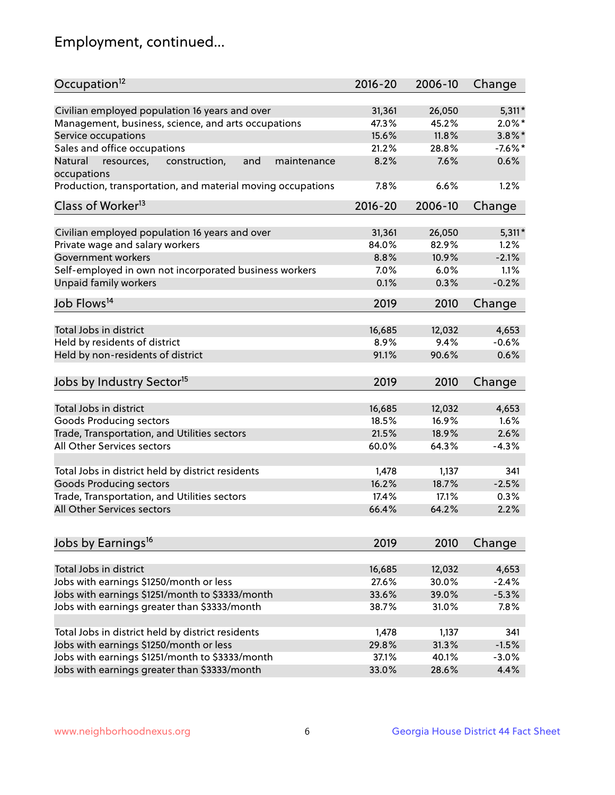## Employment, continued...

| Occupation <sup>12</sup>                                                    | $2016 - 20$ | 2006-10 | Change    |
|-----------------------------------------------------------------------------|-------------|---------|-----------|
| Civilian employed population 16 years and over                              | 31,361      | 26,050  | $5,311*$  |
| Management, business, science, and arts occupations                         | 47.3%       | 45.2%   | $2.0\%$ * |
| Service occupations                                                         | 15.6%       | 11.8%   | $3.8\%$ * |
| Sales and office occupations                                                | 21.2%       | 28.8%   | $-7.6%$ * |
|                                                                             | 8.2%        |         | 0.6%      |
| Natural<br>and<br>resources,<br>construction,<br>maintenance<br>occupations |             | 7.6%    |           |
| Production, transportation, and material moving occupations                 | 7.8%        | 6.6%    | 1.2%      |
| Class of Worker <sup>13</sup>                                               | $2016 - 20$ | 2006-10 | Change    |
|                                                                             |             |         |           |
| Civilian employed population 16 years and over                              | 31,361      | 26,050  | $5,311*$  |
| Private wage and salary workers                                             | 84.0%       | 82.9%   | 1.2%      |
| Government workers                                                          | 8.8%        | 10.9%   | $-2.1%$   |
| Self-employed in own not incorporated business workers                      | 7.0%        | 6.0%    | 1.1%      |
| Unpaid family workers                                                       | 0.1%        | 0.3%    | $-0.2%$   |
| Job Flows <sup>14</sup>                                                     | 2019        | 2010    | Change    |
|                                                                             |             |         |           |
| Total Jobs in district                                                      | 16,685      | 12,032  | 4,653     |
| Held by residents of district                                               | 8.9%        | 9.4%    | $-0.6%$   |
| Held by non-residents of district                                           | 91.1%       | 90.6%   | 0.6%      |
| Jobs by Industry Sector <sup>15</sup>                                       | 2019        | 2010    | Change    |
|                                                                             |             |         |           |
| Total Jobs in district                                                      | 16,685      | 12,032  | 4,653     |
| Goods Producing sectors                                                     | 18.5%       | 16.9%   | 1.6%      |
| Trade, Transportation, and Utilities sectors                                | 21.5%       | 18.9%   | 2.6%      |
| All Other Services sectors                                                  | 60.0%       | 64.3%   | $-4.3%$   |
| Total Jobs in district held by district residents                           | 1,478       | 1,137   | 341       |
| <b>Goods Producing sectors</b>                                              | 16.2%       | 18.7%   | $-2.5%$   |
| Trade, Transportation, and Utilities sectors                                | 17.4%       | 17.1%   | 0.3%      |
| All Other Services sectors                                                  | 66.4%       | 64.2%   | 2.2%      |
|                                                                             |             |         |           |
| Jobs by Earnings <sup>16</sup>                                              | 2019        | 2010    | Change    |
|                                                                             |             |         |           |
| Total Jobs in district                                                      | 16,685      | 12,032  | 4,653     |
| Jobs with earnings \$1250/month or less                                     | 27.6%       | 30.0%   | $-2.4%$   |
| Jobs with earnings \$1251/month to \$3333/month                             | 33.6%       | 39.0%   | $-5.3%$   |
| Jobs with earnings greater than \$3333/month                                | 38.7%       | 31.0%   | 7.8%      |
| Total Jobs in district held by district residents                           | 1,478       | 1,137   | 341       |
| Jobs with earnings \$1250/month or less                                     | 29.8%       | 31.3%   | $-1.5%$   |
| Jobs with earnings \$1251/month to \$3333/month                             | 37.1%       | 40.1%   | $-3.0%$   |
| Jobs with earnings greater than \$3333/month                                | 33.0%       | 28.6%   | 4.4%      |
|                                                                             |             |         |           |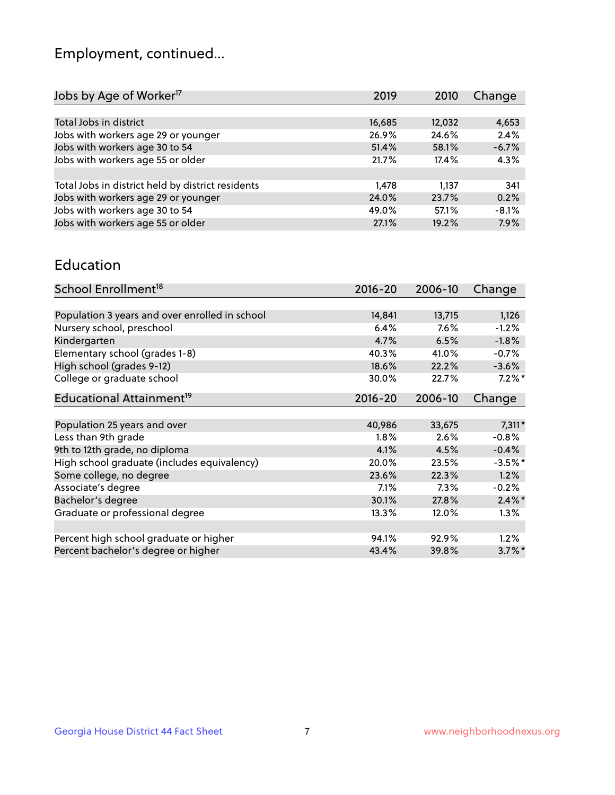## Employment, continued...

| 2010   | Change                                                                        |
|--------|-------------------------------------------------------------------------------|
|        |                                                                               |
| 12,032 | 4,653                                                                         |
| 24.6%  | 2.4%                                                                          |
| 58.1%  | $-6.7%$                                                                       |
| 17.4%  | 4.3%                                                                          |
|        |                                                                               |
| 1.137  | 341                                                                           |
| 23.7%  | 0.2%                                                                          |
| 57.1%  | $-8.1%$                                                                       |
| 19.2%  | 7.9%                                                                          |
|        | 2019<br>16,685<br>26.9%<br>51.4%<br>21.7%<br>1,478<br>24.0%<br>49.0%<br>27.1% |

#### Education

| School Enrollment <sup>18</sup>                | $2016 - 20$ | 2006-10  | Change               |
|------------------------------------------------|-------------|----------|----------------------|
|                                                |             |          |                      |
| Population 3 years and over enrolled in school | 14,841      | 13,715   | 1,126                |
| Nursery school, preschool                      | 6.4%        | 7.6%     | $-1.2%$              |
| Kindergarten                                   | 4.7%        | 6.5%     | $-1.8%$              |
| Elementary school (grades 1-8)                 | 40.3%       | 41.0%    | $-0.7%$              |
| High school (grades 9-12)                      | 18.6%       | 22.2%    | $-3.6%$              |
| College or graduate school                     | 30.0%       | 22.7%    | $7.2\%$ *            |
| Educational Attainment <sup>19</sup>           | $2016 - 20$ | 2006-10  | Change               |
|                                                |             |          |                      |
| Population 25 years and over                   | 40,986      | 33,675   | $7,311*$             |
| Less than 9th grade                            | $1.8\%$     | 2.6%     | $-0.8%$              |
| 9th to 12th grade, no diploma                  | 4.1%        | 4.5%     | $-0.4%$              |
| High school graduate (includes equivalency)    | 20.0%       | 23.5%    | $-3.5\%$ *           |
| Some college, no degree                        | 23.6%       | 22.3%    | 1.2%                 |
| Associate's degree                             | 7.1%        | 7.3%     | $-0.2%$              |
| Bachelor's degree                              | 30.1%       | 27.8%    | $2.4\%$ *            |
| Graduate or professional degree                | 13.3%       | $12.0\%$ | $1.3\%$              |
|                                                |             |          |                      |
| Percent high school graduate or higher         | 94.1%       | 92.9%    | 1.2%                 |
| Percent bachelor's degree or higher            | 43.4%       | 39.8%    | $3.7\%$ <sup>*</sup> |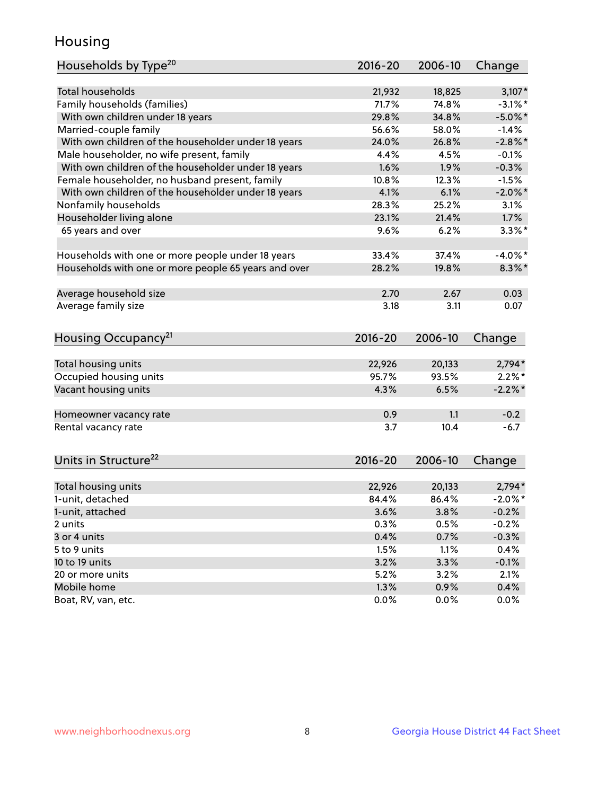## Housing

| Households by Type <sup>20</sup>                     | 2016-20     | 2006-10 | Change     |
|------------------------------------------------------|-------------|---------|------------|
|                                                      |             |         |            |
| <b>Total households</b>                              | 21,932      | 18,825  | $3,107*$   |
| Family households (families)                         | 71.7%       | 74.8%   | $-3.1\%$ * |
| With own children under 18 years                     | 29.8%       | 34.8%   | $-5.0\%$ * |
| Married-couple family                                | 56.6%       | 58.0%   | $-1.4%$    |
| With own children of the householder under 18 years  | 24.0%       | 26.8%   | $-2.8%$    |
| Male householder, no wife present, family            | 4.4%        | 4.5%    | $-0.1%$    |
| With own children of the householder under 18 years  | 1.6%        | 1.9%    | $-0.3%$    |
| Female householder, no husband present, family       | 10.8%       | 12.3%   | $-1.5%$    |
| With own children of the householder under 18 years  | 4.1%        | 6.1%    | $-2.0\%$ * |
| Nonfamily households                                 | 28.3%       | 25.2%   | 3.1%       |
| Householder living alone                             | 23.1%       | 21.4%   | 1.7%       |
| 65 years and over                                    | 9.6%        | 6.2%    | $3.3\%$ *  |
| Households with one or more people under 18 years    | 33.4%       | 37.4%   | $-4.0\%$ * |
| Households with one or more people 65 years and over | 28.2%       | 19.8%   | $8.3\%$ *  |
|                                                      |             |         |            |
| Average household size                               | 2.70        | 2.67    | 0.03       |
| Average family size                                  | 3.18        | 3.11    | 0.07       |
| Housing Occupancy <sup>21</sup>                      | $2016 - 20$ | 2006-10 | Change     |
| Total housing units                                  | 22,926      | 20,133  | $2,794*$   |
| Occupied housing units                               | 95.7%       | 93.5%   | $2.2\%$ *  |
| Vacant housing units                                 | 4.3%        | 6.5%    | $-2.2\%$ * |
|                                                      |             |         |            |
| Homeowner vacancy rate                               | 0.9         | 1.1     | $-0.2$     |
| Rental vacancy rate                                  | 3.7         | 10.4    | $-6.7$     |
| Units in Structure <sup>22</sup>                     | 2016-20     | 2006-10 | Change     |
| Total housing units                                  | 22,926      | 20,133  | $2,794*$   |
| 1-unit, detached                                     | 84.4%       | 86.4%   | $-2.0\%$ * |
| 1-unit, attached                                     | 3.6%        | 3.8%    | $-0.2%$    |
| 2 units                                              | 0.3%        | 0.5%    | $-0.2%$    |
| 3 or 4 units                                         | 0.4%        | 0.7%    | $-0.3%$    |
|                                                      | 1.5%        | 1.1%    | 0.4%       |
| 5 to 9 units<br>10 to 19 units                       |             |         |            |
|                                                      | 3.2%        | 3.3%    | $-0.1%$    |
| 20 or more units                                     | 5.2%        | 3.2%    | 2.1%       |
| Mobile home                                          | 1.3%        | 0.9%    | 0.4%       |
| Boat, RV, van, etc.                                  | 0.0%        | 0.0%    | 0.0%       |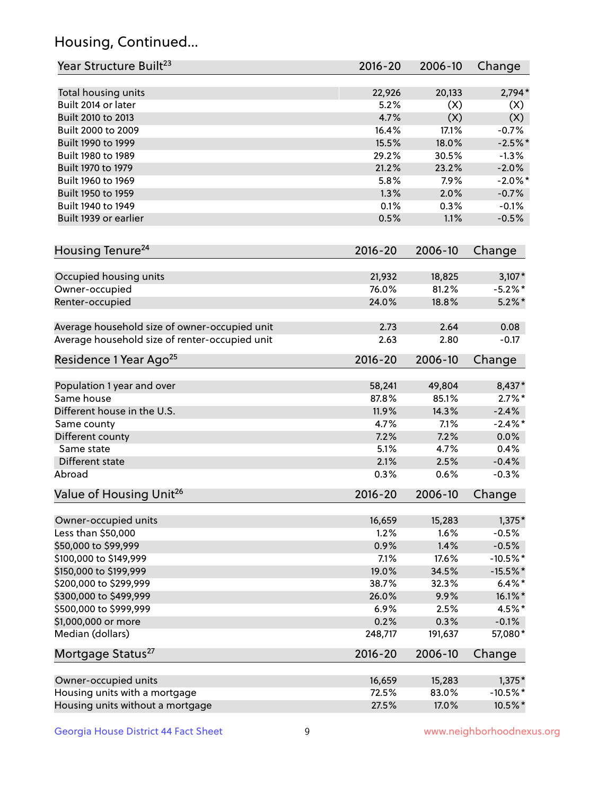## Housing, Continued...

| Year Structure Built <sup>23</sup>             | 2016-20     | 2006-10 | Change      |
|------------------------------------------------|-------------|---------|-------------|
| Total housing units                            | 22,926      | 20,133  | $2,794*$    |
| Built 2014 or later                            | 5.2%        | (X)     | (X)         |
| Built 2010 to 2013                             | 4.7%        | (X)     | (X)         |
| Built 2000 to 2009                             | 16.4%       | 17.1%   | $-0.7%$     |
| Built 1990 to 1999                             | 15.5%       | 18.0%   | $-2.5%$ *   |
| Built 1980 to 1989                             | 29.2%       | 30.5%   | $-1.3%$     |
| Built 1970 to 1979                             | 21.2%       | 23.2%   | $-2.0%$     |
| Built 1960 to 1969                             | 5.8%        | 7.9%    | $-2.0\%$ *  |
| Built 1950 to 1959                             | 1.3%        | 2.0%    | $-0.7%$     |
| Built 1940 to 1949                             | 0.1%        | 0.3%    | $-0.1%$     |
| Built 1939 or earlier                          | 0.5%        | 1.1%    | $-0.5%$     |
| Housing Tenure <sup>24</sup>                   | $2016 - 20$ | 2006-10 | Change      |
|                                                |             |         |             |
| Occupied housing units                         | 21,932      | 18,825  | $3,107*$    |
| Owner-occupied                                 | 76.0%       | 81.2%   | $-5.2\%$ *  |
| Renter-occupied                                | 24.0%       | 18.8%   | $5.2\%$ *   |
| Average household size of owner-occupied unit  | 2.73        | 2.64    | 0.08        |
| Average household size of renter-occupied unit | 2.63        | 2.80    | $-0.17$     |
| Residence 1 Year Ago <sup>25</sup>             | $2016 - 20$ | 2006-10 | Change      |
| Population 1 year and over                     | 58,241      | 49,804  | 8,437*      |
| Same house                                     | 87.8%       | 85.1%   | $2.7\%$ *   |
| Different house in the U.S.                    | 11.9%       | 14.3%   | $-2.4%$     |
| Same county                                    | 4.7%        | 7.1%    | $-2.4\%$ *  |
| Different county                               | 7.2%        | 7.2%    | 0.0%        |
| Same state                                     | 5.1%        | 4.7%    | 0.4%        |
| Different state                                | 2.1%        | 2.5%    | $-0.4%$     |
| Abroad                                         | 0.3%        | 0.6%    | $-0.3%$     |
| Value of Housing Unit <sup>26</sup>            | $2016 - 20$ | 2006-10 | Change      |
|                                                |             |         |             |
| Owner-occupied units                           | 16,659      | 15,283  | $1,375*$    |
| Less than \$50,000                             | 1.2%        | 1.6%    | $-0.5%$     |
| \$50,000 to \$99,999                           | 0.9%        | 1.4%    | $-0.5%$     |
| \$100,000 to \$149,999                         | 7.1%        | 17.6%   | $-10.5%$ *  |
| \$150,000 to \$199,999                         | 19.0%       | 34.5%   | $-15.5\%$ * |
| \$200,000 to \$299,999                         | 38.7%       | 32.3%   | $6.4\% *$   |
| \$300,000 to \$499,999                         | 26.0%       | 9.9%    | 16.1%*      |
| \$500,000 to \$999,999                         | 6.9%        | 2.5%    | 4.5%*       |
| \$1,000,000 or more                            | 0.2%        | 0.3%    | $-0.1%$     |
| Median (dollars)                               | 248,717     | 191,637 | 57,080*     |
| Mortgage Status <sup>27</sup>                  | $2016 - 20$ | 2006-10 | Change      |
| Owner-occupied units                           | 16,659      | 15,283  | $1,375*$    |
| Housing units with a mortgage                  | 72.5%       | 83.0%   | $-10.5%$ *  |
| Housing units without a mortgage               | 27.5%       | 17.0%   | 10.5%*      |
|                                                |             |         |             |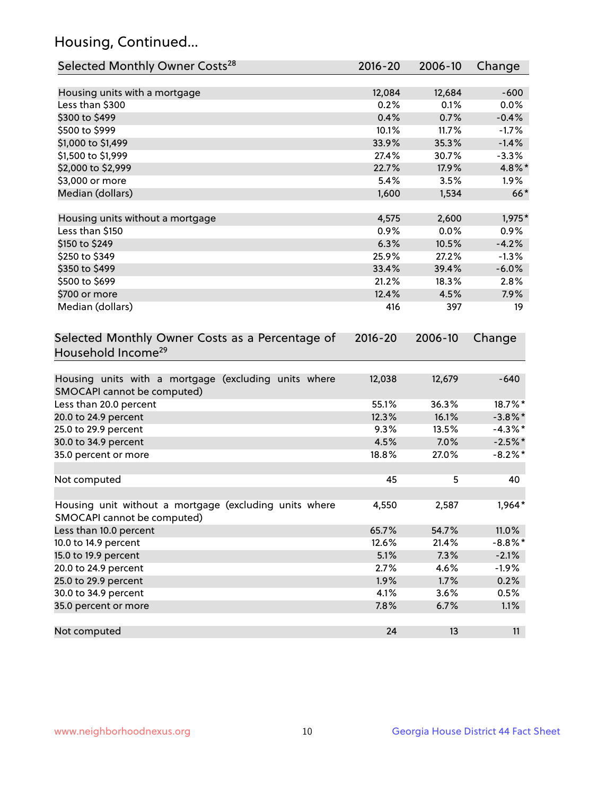## Housing, Continued...

| Selected Monthly Owner Costs <sup>28</sup>                                            | 2016-20        | 2006-10        | Change     |
|---------------------------------------------------------------------------------------|----------------|----------------|------------|
|                                                                                       |                |                | $-600$     |
| Housing units with a mortgage<br>Less than \$300                                      | 12,084<br>0.2% | 12,684<br>0.1% | 0.0%       |
| \$300 to \$499                                                                        | 0.4%           | 0.7%           | $-0.4%$    |
| \$500 to \$999                                                                        | 10.1%          | 11.7%          | $-1.7%$    |
| \$1,000 to \$1,499                                                                    | 33.9%          | 35.3%          | $-1.4%$    |
| \$1,500 to \$1,999                                                                    | 27.4%          | 30.7%          | $-3.3%$    |
| \$2,000 to \$2,999                                                                    | 22.7%          | 17.9%          | 4.8%*      |
| \$3,000 or more                                                                       | 5.4%           | 3.5%           | $1.9\%$    |
| Median (dollars)                                                                      | 1,600          | 1,534          | $66*$      |
|                                                                                       |                |                |            |
| Housing units without a mortgage                                                      | 4,575          | 2,600          | 1,975*     |
| Less than \$150                                                                       | 0.9%           | 0.0%           | 0.9%       |
| \$150 to \$249                                                                        | 6.3%           | 10.5%          | $-4.2%$    |
| \$250 to \$349                                                                        | 25.9%          | 27.2%          | $-1.3%$    |
| \$350 to \$499                                                                        | 33.4%          | 39.4%          | $-6.0%$    |
| \$500 to \$699                                                                        | 21.2%          | 18.3%          | 2.8%       |
| \$700 or more                                                                         | 12.4%          | 4.5%           | 7.9%       |
| Median (dollars)                                                                      | 416            | 397            | 19         |
| Selected Monthly Owner Costs as a Percentage of<br>Household Income <sup>29</sup>     | $2016 - 20$    | 2006-10        | Change     |
| Housing units with a mortgage (excluding units where<br>SMOCAPI cannot be computed)   | 12,038         | 12,679         | $-640$     |
| Less than 20.0 percent                                                                | 55.1%          | 36.3%          | 18.7%*     |
| 20.0 to 24.9 percent                                                                  | 12.3%          | 16.1%          | $-3.8\%$ * |
| 25.0 to 29.9 percent                                                                  | 9.3%           | 13.5%          | $-4.3\%$ * |
| 30.0 to 34.9 percent                                                                  | 4.5%           | 7.0%           | $-2.5%$ *  |
| 35.0 percent or more                                                                  | 18.8%          | 27.0%          | $-8.2\%$ * |
| Not computed                                                                          | 45             | 5              | 40         |
| Housing unit without a mortgage (excluding units where<br>SMOCAPI cannot be computed) | 4,550          | 2,587          | $1,964*$   |
| Less than 10.0 percent                                                                | 65.7%          | 54.7%          | 11.0%      |
| 10.0 to 14.9 percent                                                                  | 12.6%          | 21.4%          | $-8.8\%$ * |
| 15.0 to 19.9 percent                                                                  | 5.1%           | 7.3%           | $-2.1%$    |
| 20.0 to 24.9 percent                                                                  | 2.7%           | 4.6%           | $-1.9%$    |
| 25.0 to 29.9 percent                                                                  | 1.9%           | 1.7%           | 0.2%       |
| 30.0 to 34.9 percent                                                                  | 4.1%           | 3.6%           | 0.5%       |
| 35.0 percent or more                                                                  | 7.8%           | 6.7%           | 1.1%       |
| Not computed                                                                          | 24             | 13             | 11         |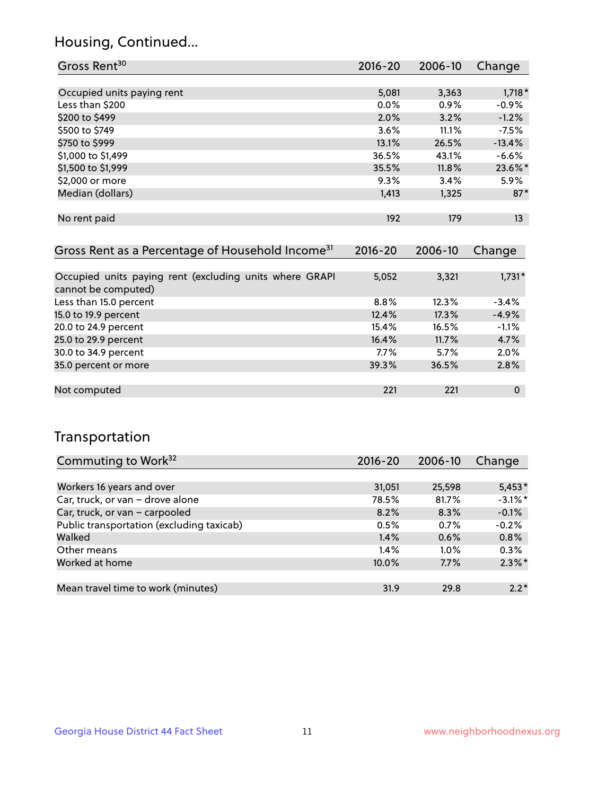## Housing, Continued...

| Gross Rent <sup>30</sup>                                     | 2016-20     | 2006-10 | Change          |
|--------------------------------------------------------------|-------------|---------|-----------------|
|                                                              |             |         |                 |
| Occupied units paying rent                                   | 5,081       | 3,363   | $1,718*$        |
| Less than \$200                                              | $0.0\%$     | 0.9%    | $-0.9%$         |
| \$200 to \$499                                               | 2.0%        | 3.2%    | $-1.2%$         |
| \$500 to \$749                                               | 3.6%        | 11.1%   | $-7.5%$         |
| \$750 to \$999                                               | 13.1%       | 26.5%   | $-13.4%$        |
| \$1,000 to \$1,499                                           | 36.5%       | 43.1%   | $-6.6%$         |
| \$1,500 to \$1,999                                           | 35.5%       | 11.8%   | 23.6%*          |
| \$2,000 or more                                              | 9.3%        | 3.4%    | $5.9\%$         |
| Median (dollars)                                             | 1,413       | 1,325   | $87*$           |
|                                                              |             |         |                 |
| No rent paid                                                 | 192         | 179     | 13 <sup>2</sup> |
|                                                              |             |         |                 |
| Gross Rent as a Percentage of Household Income <sup>31</sup> | $2016 - 20$ | 2006-10 | Change          |
|                                                              |             |         |                 |

| Occupied units paying rent (excluding units where GRAPI | 5,052   | 3,321 | $1,731*$ |
|---------------------------------------------------------|---------|-------|----------|
| cannot be computed)                                     |         |       |          |
| Less than 15.0 percent                                  | 8.8%    | 12.3% | $-3.4%$  |
| 15.0 to 19.9 percent                                    | 12.4%   | 17.3% | $-4.9%$  |
| 20.0 to 24.9 percent                                    | 15.4%   | 16.5% | $-1.1%$  |
| 25.0 to 29.9 percent                                    | 16.4%   | 11.7% | 4.7%     |
| 30.0 to 34.9 percent                                    | $7.7\%$ | 5.7%  | 2.0%     |
| 35.0 percent or more                                    | 39.3%   | 36.5% | 2.8%     |
|                                                         |         |       |          |
| Not computed                                            | 221     | 221   | 0        |

## Transportation

| Commuting to Work <sup>32</sup>           | 2016-20 | 2006-10 | Change     |
|-------------------------------------------|---------|---------|------------|
|                                           |         |         |            |
| Workers 16 years and over                 | 31,051  | 25,598  | $5,453*$   |
| Car, truck, or van - drove alone          | 78.5%   | 81.7%   | $-3.1\%$ * |
| Car, truck, or van - carpooled            | 8.2%    | 8.3%    | $-0.1%$    |
| Public transportation (excluding taxicab) | 0.5%    | 0.7%    | $-0.2%$    |
| Walked                                    | 1.4%    | 0.6%    | 0.8%       |
| Other means                               | 1.4%    | $1.0\%$ | 0.3%       |
| Worked at home                            | 10.0%   | 7.7%    | $2.3\%$ *  |
|                                           |         |         |            |
| Mean travel time to work (minutes)        | 31.9    | 29.8    | $2.2*$     |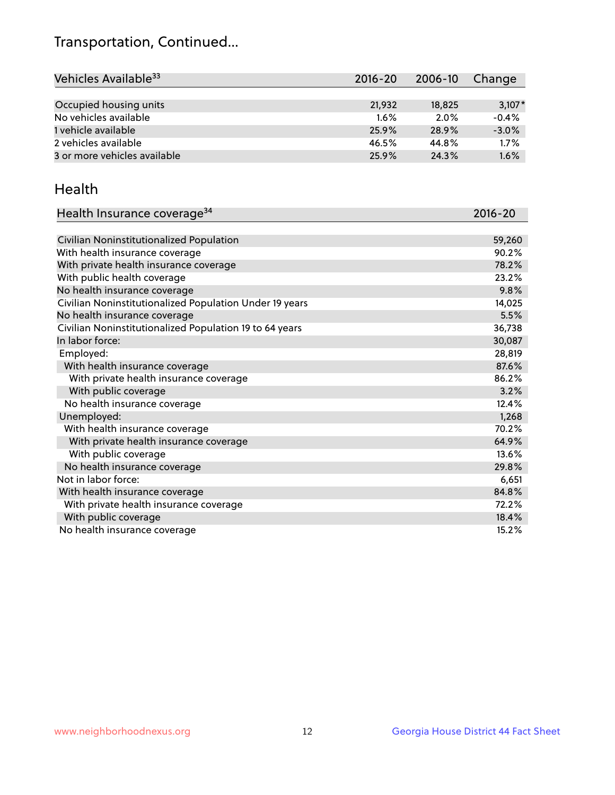## Transportation, Continued...

| Vehicles Available <sup>33</sup> | $2016 - 20$ | 2006-10 | Change   |
|----------------------------------|-------------|---------|----------|
|                                  |             |         |          |
| Occupied housing units           | 21,932      | 18,825  | $3,107*$ |
| No vehicles available            | $1.6\%$     | 2.0%    | $-0.4%$  |
| 1 vehicle available              | 25.9%       | 28.9%   | $-3.0%$  |
| 2 vehicles available             | 46.5%       | 44.8%   | 1.7%     |
| 3 or more vehicles available     | 25.9%       | 24.3%   | 1.6%     |

#### Health

| Health Insurance coverage <sup>34</sup>                 | 2016-20 |
|---------------------------------------------------------|---------|
|                                                         |         |
| Civilian Noninstitutionalized Population                | 59,260  |
| With health insurance coverage                          | 90.2%   |
| With private health insurance coverage                  | 78.2%   |
| With public health coverage                             | 23.2%   |
| No health insurance coverage                            | 9.8%    |
| Civilian Noninstitutionalized Population Under 19 years | 14,025  |
| No health insurance coverage                            | 5.5%    |
| Civilian Noninstitutionalized Population 19 to 64 years | 36,738  |
| In labor force:                                         | 30,087  |
| Employed:                                               | 28,819  |
| With health insurance coverage                          | 87.6%   |
| With private health insurance coverage                  | 86.2%   |
| With public coverage                                    | 3.2%    |
| No health insurance coverage                            | 12.4%   |
| Unemployed:                                             | 1,268   |
| With health insurance coverage                          | 70.2%   |
| With private health insurance coverage                  | 64.9%   |
| With public coverage                                    | 13.6%   |
| No health insurance coverage                            | 29.8%   |
| Not in labor force:                                     | 6,651   |
| With health insurance coverage                          | 84.8%   |
| With private health insurance coverage                  | 72.2%   |
| With public coverage                                    | 18.4%   |
| No health insurance coverage                            | 15.2%   |